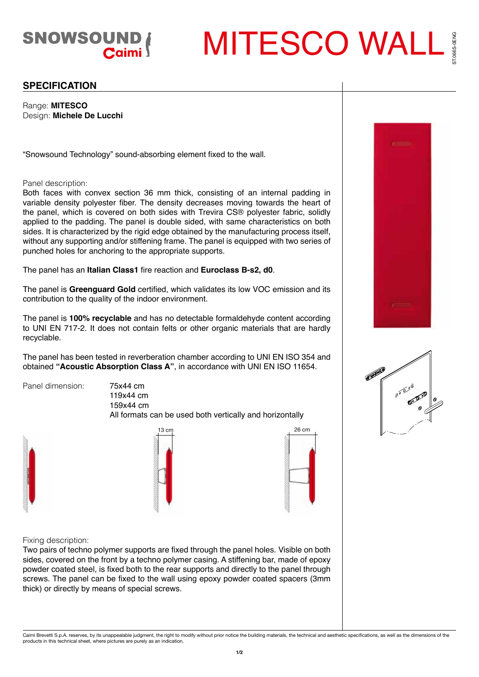

MITESCO WALL 066S-0ENG ST.066S-0ENG

## **SPECIFICATION**

Range: **MITESCO** Design: **Michele De Lucchi**

"Snowsound Technology" sound-absorbing element fixed to the wall.

## Panel description:

Both faces with convex section 36 mm thick, consisting of an internal padding in variable density polyester fiber. The density decreases moving towards the heart of the panel, which is covered on both sides with Trevira CS® polyester fabric, solidly applied to the padding. The panel is double sided, with same characteristics on both sides. It is characterized by the rigid edge obtained by the manufacturing process itself, without any supporting and/or stiffening frame. The panel is equipped with two series of punched holes for anchoring to the appropriate supports.

The panel has an **Italian Class1** fire reaction and **Euroclass B-s2, d0**.

The panel is **Greenguard Gold** certified, which validates its low VOC emission and its contribution to the quality of the indoor environment.

The panel is **100% recyclable** and has no detectable formaldehyde content according to UNI EN 717-2. It does not contain felts or other organic materials that are hardly recyclable.

The panel has been tested in reverberation chamber according to UNI EN ISO 354 and obtained **"Acoustic Absorption Class A"**, in accordance with UNI EN ISO 11654.

Panel dimension: 75x44 cm

119x44 cm 159x44 cm

All formats can be used both vertically and horizontally





Fixing description:

Two pairs of techno polymer supports are fixed through the panel holes. Visible on both sides, covered on the front by a techno polymer casing. A stiffening bar, made of epoxy powder coated steel, is fixed both to the rear supports and directly to the panel through screws. The panel can be fixed to the wall using epoxy powder coated spacers (3mm thick) or directly by means of special screws.





Caimi Brevetti S.p.A. reserves, by its unappealable judgment, the right to modify without prior notice the building materials, the technical and aesthetic specifications, as well as the dimensions of the<br>products in this t